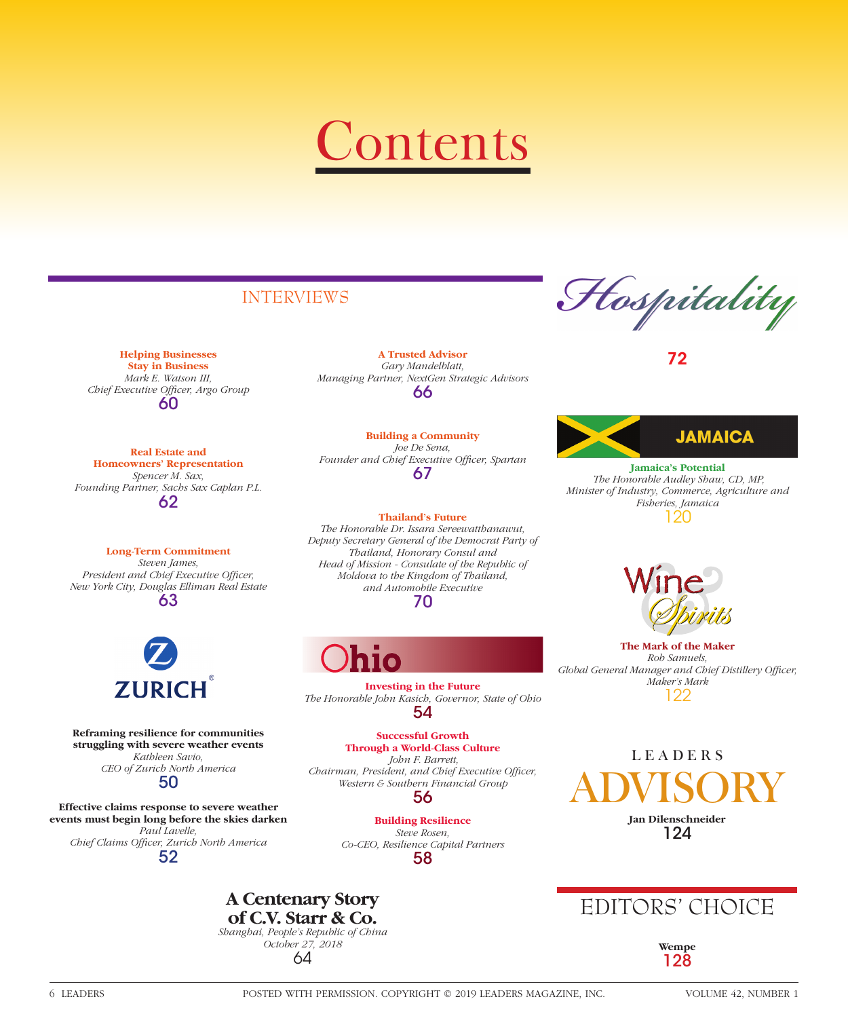# Contents

# INTERVIEWS

**Helping Businesses Stay in Business** *Mark E. Watson III,*  Chief Executive Officer, Argo Group 60

**Real Estate and Homeowners' Representation** *Spencer M. Sax, Founding Partner, Sachs Sax Caplan P.L.* 62

**Long-Term Commitment** *Steven James,*  **President and Chief Executive Officer,** *New York City, Douglas Elliman Real Estate* 63



**Reframing resilience for communities struggling with severe weather events** *Kathleen Savio, CEO of Zurich North America* 50

**Effective claims response to severe weather events must begin long before the skies darken** *Paul Lavelle, Chief Claims Offi cer, Zurich North America* 52

**A Trusted Advisor** *Gary Mandelblatt, Managing Partner, NextGen Strategic Advisors* 66

**Building a Community** *Joe De Sena,*  Founder and Chief Executive Officer, Spartan 67

#### **Thailand's Future**

*The Honorable Dr. Issara Sereewatthanawut, Deputy Secretary General of the Democrat Party of Thailand, Honorary Consul and Head of Mission - Consulate of the Republic of Moldova to the Kingdom of Thailand, and Automobile Executive* 70

**A Centenary Story of C.V. Starr & Co.** *Shanghai, People's Republic of China October 27, 2018* 64

**Investing in the Future** *The Honorable John Kasich, Governor, State of Ohio* 54

**Successful Growth Through a World-Class Culture**  *John F. Barrett, Chairman, President, and Chief Executive Officer, Western & Southern Financial Group*

56

**Building Resilience** *Steve Rosen, Co-CEO, Resilience Capital Partners* 58

Hospitality

72



**Jamaica's Potential**   *The Honorable Audley Shaw, CD, MP, Minister of Industry, Commerce, Agriculture and Fisheries, Jamaica* 120



**The Mark of the Maker** *Rob Samuels,*  Global General Manager and Chief Distillery Officer, *Maker's Mark* 122

LEADERS ADVISORY **Jan Dilenschneider** 124

# EDITORS' CHOICE